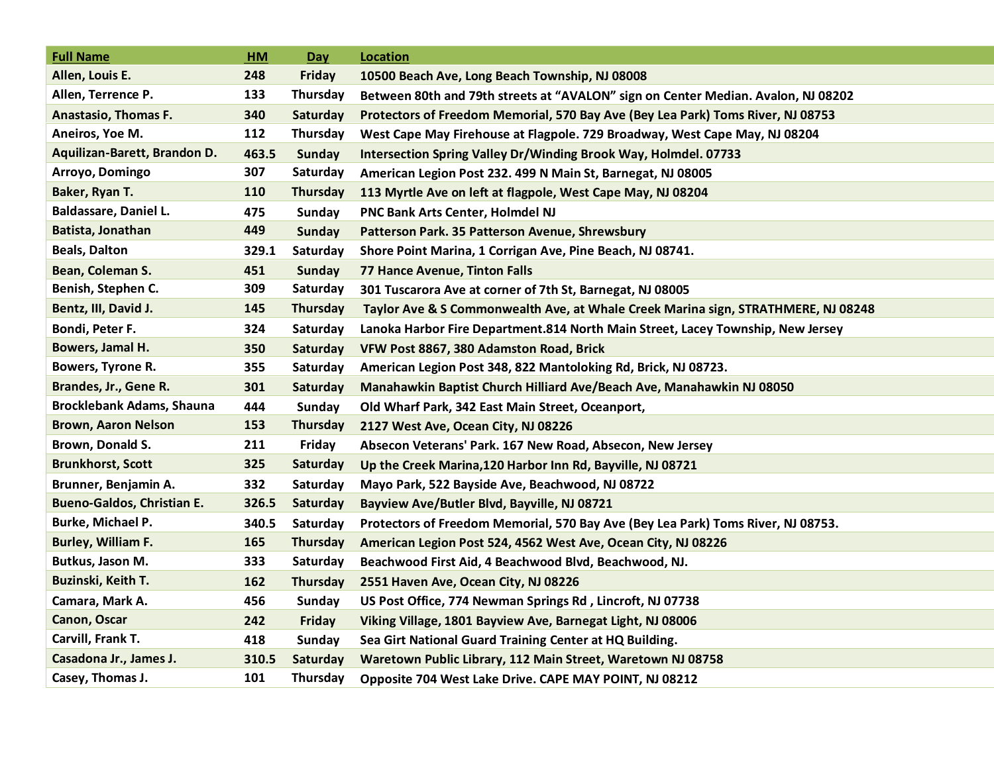| <b>Full Name</b>                  | <b>HM</b> | Day             | <b>Location</b>                                                                   |
|-----------------------------------|-----------|-----------------|-----------------------------------------------------------------------------------|
| Allen, Louis E.                   | 248       | <b>Friday</b>   | 10500 Beach Ave, Long Beach Township, NJ 08008                                    |
| Allen, Terrence P.                | 133       | Thursday        | Between 80th and 79th streets at "AVALON" sign on Center Median. Avalon, NJ 08202 |
| <b>Anastasio, Thomas F.</b>       | 340       | Saturday        | Protectors of Freedom Memorial, 570 Bay Ave (Bey Lea Park) Toms River, NJ 08753   |
| Aneiros, Yoe M.                   | 112       | <b>Thursday</b> | West Cape May Firehouse at Flagpole. 729 Broadway, West Cape May, NJ 08204        |
| Aquilizan-Barett, Brandon D.      | 463.5     | <b>Sunday</b>   | Intersection Spring Valley Dr/Winding Brook Way, Holmdel. 07733                   |
| Arroyo, Domingo                   | 307       | Saturday        | American Legion Post 232. 499 N Main St, Barnegat, NJ 08005                       |
| Baker, Ryan T.                    | 110       | <b>Thursday</b> | 113 Myrtle Ave on left at flagpole, West Cape May, NJ 08204                       |
| <b>Baldassare, Daniel L.</b>      | 475       | <b>Sunday</b>   | PNC Bank Arts Center, Holmdel NJ                                                  |
| Batista, Jonathan                 | 449       | Sunday          | Patterson Park. 35 Patterson Avenue, Shrewsbury                                   |
| <b>Beals, Dalton</b>              | 329.1     | Saturday        | Shore Point Marina, 1 Corrigan Ave, Pine Beach, NJ 08741.                         |
| Bean, Coleman S.                  | 451       | Sunday          | 77 Hance Avenue, Tinton Falls                                                     |
| Benish, Stephen C.                | 309       | Saturday        | 301 Tuscarora Ave at corner of 7th St, Barnegat, NJ 08005                         |
| Bentz, III, David J.              | 145       | <b>Thursday</b> | Taylor Ave & S Commonwealth Ave, at Whale Creek Marina sign, STRATHMERE, NJ 08248 |
| Bondi, Peter F.                   | 324       | Saturday        | Lanoka Harbor Fire Department.814 North Main Street, Lacey Township, New Jersey   |
| Bowers, Jamal H.                  | 350       | Saturday        | VFW Post 8867, 380 Adamston Road, Brick                                           |
| Bowers, Tyrone R.                 | 355       | Saturday        | American Legion Post 348, 822 Mantoloking Rd, Brick, NJ 08723.                    |
| Brandes, Jr., Gene R.             | 301       | Saturday        | Manahawkin Baptist Church Hilliard Ave/Beach Ave, Manahawkin NJ 08050             |
| <b>Brocklebank Adams, Shauna</b>  | 444       | <b>Sunday</b>   | Old Wharf Park, 342 East Main Street, Oceanport,                                  |
| <b>Brown, Aaron Nelson</b>        | 153       | Thursday        | 2127 West Ave, Ocean City, NJ 08226                                               |
| Brown, Donald S.                  | 211       | Friday          | Absecon Veterans' Park. 167 New Road, Absecon, New Jersey                         |
| <b>Brunkhorst, Scott</b>          | 325       | Saturday        | Up the Creek Marina, 120 Harbor Inn Rd, Bayville, NJ 08721                        |
| Brunner, Benjamin A.              | 332       | Saturday        | Mayo Park, 522 Bayside Ave, Beachwood, NJ 08722                                   |
| <b>Bueno-Galdos, Christian E.</b> | 326.5     | Saturday        | Bayview Ave/Butler Blvd, Bayville, NJ 08721                                       |
| Burke, Michael P.                 | 340.5     | Saturday        | Protectors of Freedom Memorial, 570 Bay Ave (Bey Lea Park) Toms River, NJ 08753.  |
| Burley, William F.                | 165       | Thursday        | American Legion Post 524, 4562 West Ave, Ocean City, NJ 08226                     |
| Butkus, Jason M.                  | 333       | Saturday        | Beachwood First Aid, 4 Beachwood Blvd, Beachwood, NJ.                             |
| Buzinski, Keith T.                | 162       | Thursday        | 2551 Haven Ave, Ocean City, NJ 08226                                              |
| Camara, Mark A.                   | 456       | Sunday          | US Post Office, 774 Newman Springs Rd, Lincroft, NJ 07738                         |
| Canon, Oscar                      | 242       | Friday          | Viking Village, 1801 Bayview Ave, Barnegat Light, NJ 08006                        |
| Carvill, Frank T.                 | 418       | <b>Sunday</b>   | Sea Girt National Guard Training Center at HQ Building.                           |
| Casadona Jr., James J.            | 310.5     | Saturday        | Waretown Public Library, 112 Main Street, Waretown NJ 08758                       |
| Casey, Thomas J.                  | 101       | Thursday        | Opposite 704 West Lake Drive. CAPE MAY POINT, NJ 08212                            |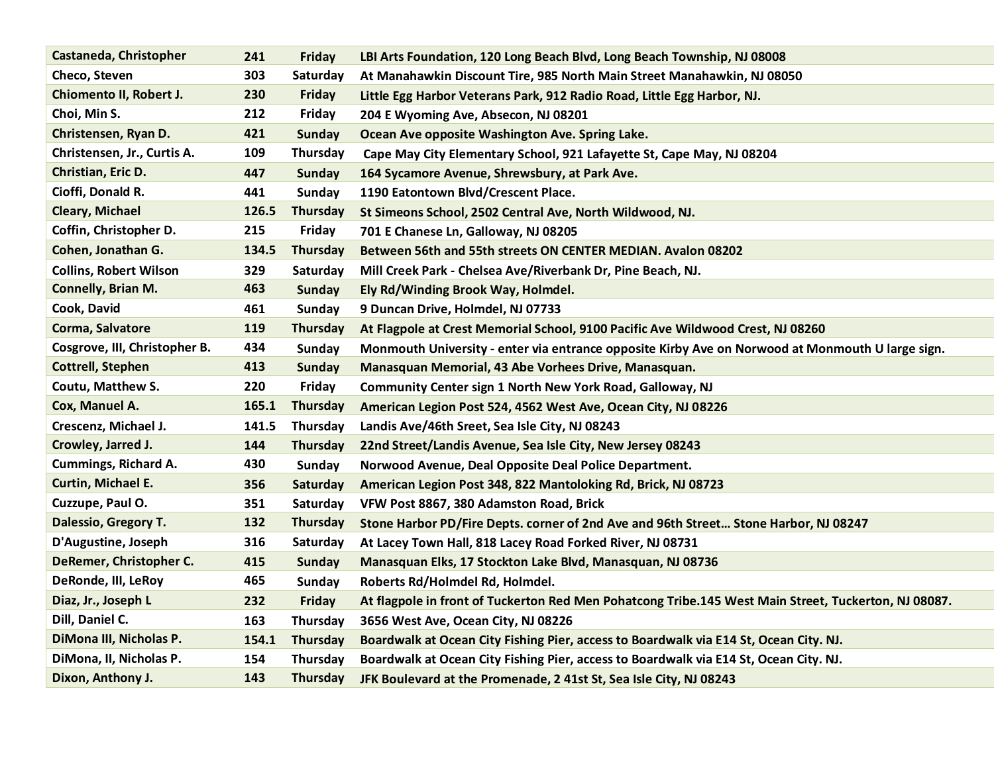| Castaneda, Christopher        | 241   | <b>Friday</b>   | LBI Arts Foundation, 120 Long Beach Blvd, Long Beach Township, NJ 08008                                                                                                                                                             |
|-------------------------------|-------|-----------------|-------------------------------------------------------------------------------------------------------------------------------------------------------------------------------------------------------------------------------------|
| Checo, Steven                 | 303   | Saturday        | At Manahawkin Discount Tire, 985 North Main Street Manahawkin, NJ 08050                                                                                                                                                             |
| Chiomento II, Robert J.       | 230   | <b>Friday</b>   | Little Egg Harbor Veterans Park, 912 Radio Road, Little Egg Harbor, NJ.                                                                                                                                                             |
| Choi, Min S.                  | 212   | Friday          | 204 E Wyoming Ave, Absecon, NJ 08201                                                                                                                                                                                                |
| Christensen, Ryan D.          | 421   | <b>Sunday</b>   | Ocean Ave opposite Washington Ave. Spring Lake.                                                                                                                                                                                     |
| Christensen, Jr., Curtis A.   | 109   | Thursday        | Cape May City Elementary School, 921 Lafayette St, Cape May, NJ 08204                                                                                                                                                               |
| Christian, Eric D.            | 447   | <b>Sunday</b>   | 164 Sycamore Avenue, Shrewsbury, at Park Ave.                                                                                                                                                                                       |
| Cioffi, Donald R.             | 441   | <b>Sunday</b>   | 1190 Eatontown Blvd/Crescent Place.                                                                                                                                                                                                 |
| <b>Cleary, Michael</b>        | 126.5 | Thursday        | St Simeons School, 2502 Central Ave, North Wildwood, NJ.                                                                                                                                                                            |
| Coffin, Christopher D.        | 215   | Friday          | 701 E Chanese Ln, Galloway, NJ 08205                                                                                                                                                                                                |
| Cohen, Jonathan G.            | 134.5 | Thursday        | Between 56th and 55th streets ON CENTER MEDIAN. Avalon 08202                                                                                                                                                                        |
| <b>Collins, Robert Wilson</b> | 329   | Saturday        | Mill Creek Park - Chelsea Ave/Riverbank Dr, Pine Beach, NJ.                                                                                                                                                                         |
| Connelly, Brian M.            | 463   | <b>Sunday</b>   | Ely Rd/Winding Brook Way, Holmdel.                                                                                                                                                                                                  |
| Cook, David                   | 461   | <b>Sunday</b>   | 9 Duncan Drive, Holmdel, NJ 07733                                                                                                                                                                                                   |
| Corma, Salvatore              | 119   | Thursday        | At Flagpole at Crest Memorial School, 9100 Pacific Ave Wildwood Crest, NJ 08260                                                                                                                                                     |
| Cosgrove, III, Christopher B. | 434   | <b>Sunday</b>   | Monmouth University - enter via entrance opposite Kirby Ave on Norwood at Monmouth U large sign.                                                                                                                                    |
| <b>Cottrell, Stephen</b>      | 413   | <b>Sunday</b>   | Manasquan Memorial, 43 Abe Vorhees Drive, Manasquan.                                                                                                                                                                                |
| Coutu, Matthew S.             | 220   | Friday          | Community Center sign 1 North New York Road, Galloway, NJ                                                                                                                                                                           |
| Cox, Manuel A.                | 165.1 | Thursday        | American Legion Post 524, 4562 West Ave, Ocean City, NJ 08226                                                                                                                                                                       |
| Crescenz, Michael J.          | 141.5 | Thursday        | Landis Ave/46th Sreet, Sea Isle City, NJ 08243                                                                                                                                                                                      |
| Crowley, Jarred J.            | 144   | Thursday        | 22nd Street/Landis Avenue, Sea Isle City, New Jersey 08243                                                                                                                                                                          |
| Cummings, Richard A.          | 430   | <b>Sunday</b>   | Norwood Avenue, Deal Opposite Deal Police Department.                                                                                                                                                                               |
| Curtin, Michael E.            | 356   | Saturday        | American Legion Post 348, 822 Mantoloking Rd, Brick, NJ 08723                                                                                                                                                                       |
| Cuzzupe, Paul O.              | 351   | Saturday        | VFW Post 8867, 380 Adamston Road, Brick                                                                                                                                                                                             |
| Dalessio, Gregory T.          | 132   | Thursday        |                                                                                                                                                                                                                                     |
| D'Augustine, Joseph           | 316   | Saturday        | At Lacey Town Hall, 818 Lacey Road Forked River, NJ 08731                                                                                                                                                                           |
| DeRemer, Christopher C.       | 415   | <b>Sunday</b>   | Manasquan Elks, 17 Stockton Lake Blvd, Manasquan, NJ 08736                                                                                                                                                                          |
| DeRonde, III, LeRoy           | 465   | <b>Sunday</b>   | Roberts Rd/Holmdel Rd, Holmdel.                                                                                                                                                                                                     |
| Diaz, Jr., Joseph L           | 232   | Friday          |                                                                                                                                                                                                                                     |
| Dill, Daniel C.               | 163   |                 |                                                                                                                                                                                                                                     |
| DiMona III, Nicholas P.       | 154.1 | <b>Thursday</b> | Boardwalk at Ocean City Fishing Pier, access to Boardwalk via E14 St, Ocean City. NJ.                                                                                                                                               |
| DiMona, II, Nicholas P.       | 154   | Thursday        | Boardwalk at Ocean City Fishing Pier, access to Boardwalk via E14 St, Ocean City. NJ.                                                                                                                                               |
| Dixon, Anthony J.             | 143   | Thursday        | JFK Boulevard at the Promenade, 2 41st St, Sea Isle City, NJ 08243                                                                                                                                                                  |
|                               |       | Thursday        | Stone Harbor PD/Fire Depts. corner of 2nd Ave and 96th Street Stone Harbor, NJ 08247<br>At flagpole in front of Tuckerton Red Men Pohatcong Tribe.145 West Main Street, Tuckerton, NJ 08087.<br>3656 West Ave, Ocean City, NJ 08226 |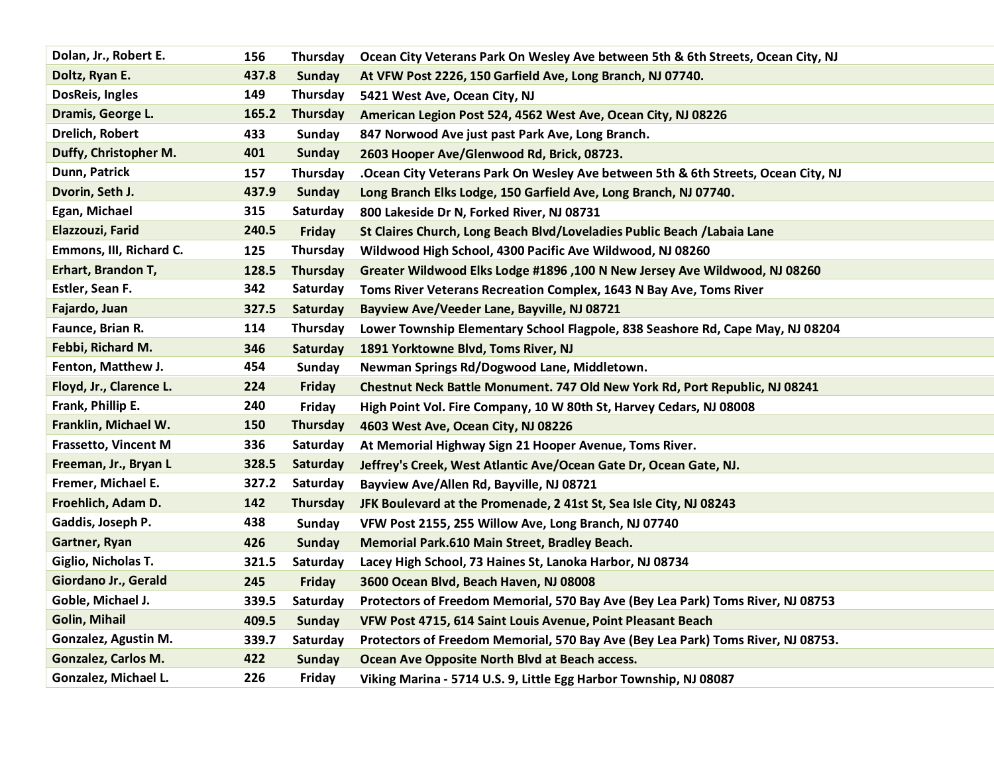| Dolan, Jr., Robert E.      | 156   | Thursday        | Ocean City Veterans Park On Wesley Ave between 5th & 6th Streets, Ocean City, NJ  |
|----------------------------|-------|-----------------|-----------------------------------------------------------------------------------|
| Doltz, Ryan E.             | 437.8 | <b>Sunday</b>   | At VFW Post 2226, 150 Garfield Ave, Long Branch, NJ 07740.                        |
| DosReis, Ingles            | 149   | Thursday        | 5421 West Ave, Ocean City, NJ                                                     |
| Dramis, George L.          | 165.2 | <b>Thursday</b> | American Legion Post 524, 4562 West Ave, Ocean City, NJ 08226                     |
| Drelich, Robert            | 433   | <b>Sunday</b>   | 847 Norwood Ave just past Park Ave, Long Branch.                                  |
| Duffy, Christopher M.      | 401   | <b>Sunday</b>   | 2603 Hooper Ave/Glenwood Rd, Brick, 08723.                                        |
| Dunn, Patrick              | 157   | Thursday        | .Ocean City Veterans Park On Wesley Ave between 5th & 6th Streets, Ocean City, NJ |
| Dvorin, Seth J.            | 437.9 | <b>Sunday</b>   | Long Branch Elks Lodge, 150 Garfield Ave, Long Branch, NJ 07740.                  |
| Egan, Michael              | 315   | Saturday        | 800 Lakeside Dr N, Forked River, NJ 08731                                         |
| Elazzouzi, Farid           | 240.5 | Friday          | St Claires Church, Long Beach Blvd/Loveladies Public Beach / Labaia Lane          |
| Emmons, III, Richard C.    | 125   | Thursday        | Wildwood High School, 4300 Pacific Ave Wildwood, NJ 08260                         |
| Erhart, Brandon T,         | 128.5 | Thursday        | Greater Wildwood Elks Lodge #1896, 100 N New Jersey Ave Wildwood, NJ 08260        |
| Estler, Sean F.            | 342   | Saturday        | Toms River Veterans Recreation Complex, 1643 N Bay Ave, Toms River                |
| Fajardo, Juan              | 327.5 | Saturday        | Bayview Ave/Veeder Lane, Bayville, NJ 08721                                       |
| Faunce, Brian R.           | 114   | Thursday        | Lower Township Elementary School Flagpole, 838 Seashore Rd, Cape May, NJ 08204    |
| Febbi, Richard M.          | 346   | Saturday        | 1891 Yorktowne Blvd, Toms River, NJ                                               |
| Fenton, Matthew J.         | 454   | Sunday          | Newman Springs Rd/Dogwood Lane, Middletown.                                       |
| Floyd, Jr., Clarence L.    | 224   | Friday          | Chestnut Neck Battle Monument. 747 Old New York Rd, Port Republic, NJ 08241       |
| Frank, Phillip E.          | 240   | Friday          | High Point Vol. Fire Company, 10 W 80th St, Harvey Cedars, NJ 08008               |
| Franklin, Michael W.       | 150   | <b>Thursday</b> | 4603 West Ave, Ocean City, NJ 08226                                               |
| Frassetto, Vincent M       | 336   | Saturday        | At Memorial Highway Sign 21 Hooper Avenue, Toms River.                            |
| Freeman, Jr., Bryan L      | 328.5 | Saturday        | Jeffrey's Creek, West Atlantic Ave/Ocean Gate Dr, Ocean Gate, NJ.                 |
| Fremer, Michael E.         | 327.2 | Saturday        | Bayview Ave/Allen Rd, Bayville, NJ 08721                                          |
| Froehlich, Adam D.         | 142   | Thursday        | JFK Boulevard at the Promenade, 2 41st St, Sea Isle City, NJ 08243                |
| Gaddis, Joseph P.          | 438   | Sunday          | VFW Post 2155, 255 Willow Ave, Long Branch, NJ 07740                              |
| Gartner, Ryan              | 426   | <b>Sunday</b>   | Memorial Park.610 Main Street, Bradley Beach.                                     |
| Giglio, Nicholas T.        | 321.5 | Saturday        | Lacey High School, 73 Haines St, Lanoka Harbor, NJ 08734                          |
| Giordano Jr., Gerald       | 245   | <b>Friday</b>   | 3600 Ocean Blvd, Beach Haven, NJ 08008                                            |
| Goble, Michael J.          | 339.5 | Saturday        | Protectors of Freedom Memorial, 570 Bay Ave (Bey Lea Park) Toms River, NJ 08753   |
| <b>Golin, Mihail</b>       | 409.5 | <b>Sunday</b>   | VFW Post 4715, 614 Saint Louis Avenue, Point Pleasant Beach                       |
| Gonzalez, Agustin M.       | 339.7 | Saturday        | Protectors of Freedom Memorial, 570 Bay Ave (Bey Lea Park) Toms River, NJ 08753.  |
| <b>Gonzalez, Carlos M.</b> | 422   | Sunday          | Ocean Ave Opposite North Blvd at Beach access.                                    |
| Gonzalez, Michael L.       | 226   | Friday          | Viking Marina - 5714 U.S. 9, Little Egg Harbor Township, NJ 08087                 |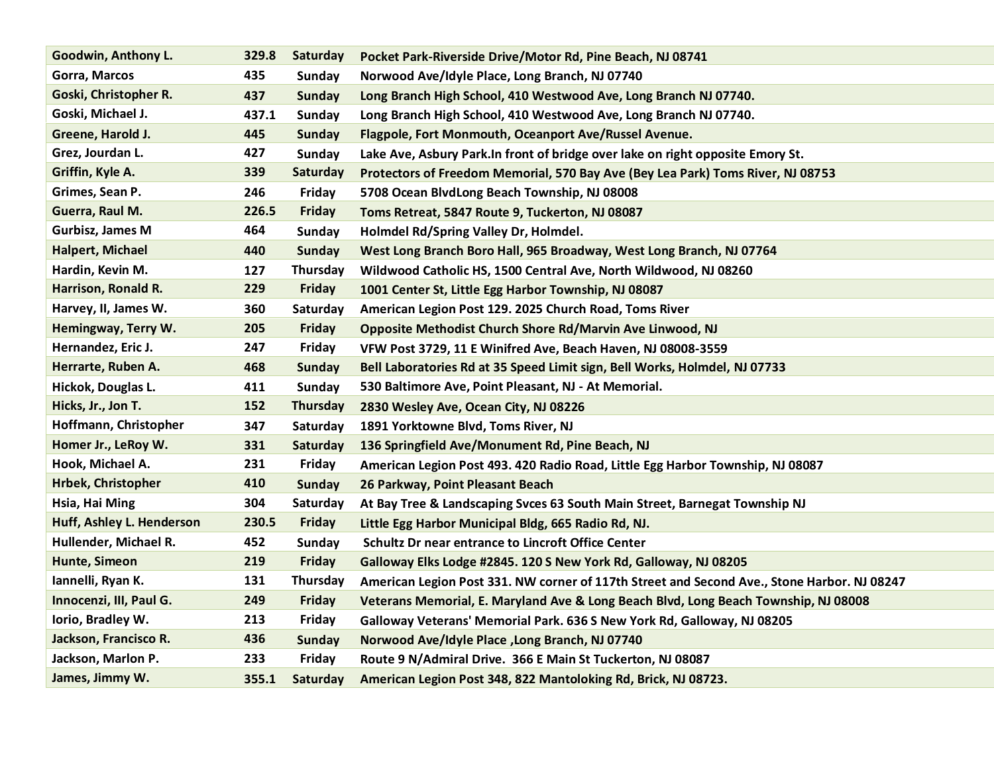| Goodwin, Anthony L.       | 329.8 | Saturday      | Pocket Park-Riverside Drive/Motor Rd, Pine Beach, NJ 08741                                  |
|---------------------------|-------|---------------|---------------------------------------------------------------------------------------------|
| Gorra, Marcos             | 435   | Sunday        | Norwood Ave/Idyle Place, Long Branch, NJ 07740                                              |
| Goski, Christopher R.     | 437   | Sunday        | Long Branch High School, 410 Westwood Ave, Long Branch NJ 07740.                            |
| Goski, Michael J.         | 437.1 | Sunday        | Long Branch High School, 410 Westwood Ave, Long Branch NJ 07740.                            |
| Greene, Harold J.         | 445   | <b>Sunday</b> | Flagpole, Fort Monmouth, Oceanport Ave/Russel Avenue.                                       |
| Grez, Jourdan L.          | 427   | Sunday        | Lake Ave, Asbury Park. In front of bridge over lake on right opposite Emory St.             |
| Griffin, Kyle A.          | 339   | Saturday      | Protectors of Freedom Memorial, 570 Bay Ave (Bey Lea Park) Toms River, NJ 08753             |
| Grimes, Sean P.           | 246   | Friday        | 5708 Ocean BlvdLong Beach Township, NJ 08008                                                |
| Guerra, Raul M.           | 226.5 | <b>Friday</b> | Toms Retreat, 5847 Route 9, Tuckerton, NJ 08087                                             |
| <b>Gurbisz, James M</b>   | 464   | Sunday        | Holmdel Rd/Spring Valley Dr, Holmdel.                                                       |
| <b>Halpert, Michael</b>   | 440   | <b>Sunday</b> | West Long Branch Boro Hall, 965 Broadway, West Long Branch, NJ 07764                        |
| Hardin, Kevin M.          | 127   | Thursday      | Wildwood Catholic HS, 1500 Central Ave, North Wildwood, NJ 08260                            |
| Harrison, Ronald R.       | 229   | <b>Friday</b> | 1001 Center St, Little Egg Harbor Township, NJ 08087                                        |
| Harvey, II, James W.      | 360   | Saturday      | American Legion Post 129. 2025 Church Road, Toms River                                      |
| Hemingway, Terry W.       | 205   | <b>Friday</b> | Opposite Methodist Church Shore Rd/Marvin Ave Linwood, NJ                                   |
| Hernandez, Eric J.        | 247   | Friday        | VFW Post 3729, 11 E Winifred Ave, Beach Haven, NJ 08008-3559                                |
| Herrarte, Ruben A.        | 468   | <b>Sunday</b> | Bell Laboratories Rd at 35 Speed Limit sign, Bell Works, Holmdel, NJ 07733                  |
| Hickok, Douglas L.        | 411   | Sunday        | 530 Baltimore Ave, Point Pleasant, NJ - At Memorial.                                        |
| Hicks, Jr., Jon T.        | 152   | Thursday      | 2830 Wesley Ave, Ocean City, NJ 08226                                                       |
| Hoffmann, Christopher     | 347   | Saturday      | 1891 Yorktowne Blvd, Toms River, NJ                                                         |
| Homer Jr., LeRoy W.       | 331   | Saturday      | 136 Springfield Ave/Monument Rd, Pine Beach, NJ                                             |
| Hook, Michael A.          | 231   | Friday        | American Legion Post 493. 420 Radio Road, Little Egg Harbor Township, NJ 08087              |
| <b>Hrbek, Christopher</b> | 410   | <b>Sunday</b> | 26 Parkway, Point Pleasant Beach                                                            |
| Hsia, Hai Ming            | 304   | Saturday      | At Bay Tree & Landscaping Svces 63 South Main Street, Barnegat Township NJ                  |
| Huff, Ashley L. Henderson | 230.5 | Friday        | Little Egg Harbor Municipal Bldg, 665 Radio Rd, NJ.                                         |
| Hullender, Michael R.     | 452   | Sunday        | <b>Schultz Dr near entrance to Lincroft Office Center</b>                                   |
| Hunte, Simeon             | 219   | <b>Friday</b> | Galloway Elks Lodge #2845. 120 S New York Rd, Galloway, NJ 08205                            |
| Iannelli, Ryan K.         | 131   | Thursday      | American Legion Post 331. NW corner of 117th Street and Second Ave., Stone Harbor. NJ 08247 |
| Innocenzi, III, Paul G.   | 249   | Friday        | Veterans Memorial, E. Maryland Ave & Long Beach Blvd, Long Beach Township, NJ 08008         |
| Iorio, Bradley W.         | 213   | Friday        | Galloway Veterans' Memorial Park. 636 S New York Rd, Galloway, NJ 08205                     |
| Jackson, Francisco R.     | 436   | <b>Sunday</b> | Norwood Ave/Idyle Place , Long Branch, NJ 07740                                             |
| Jackson, Marlon P.        | 233   | Friday        | Route 9 N/Admiral Drive. 366 E Main St Tuckerton, NJ 08087                                  |
| James, Jimmy W.           | 355.1 | Saturday      | American Legion Post 348, 822 Mantoloking Rd, Brick, NJ 08723.                              |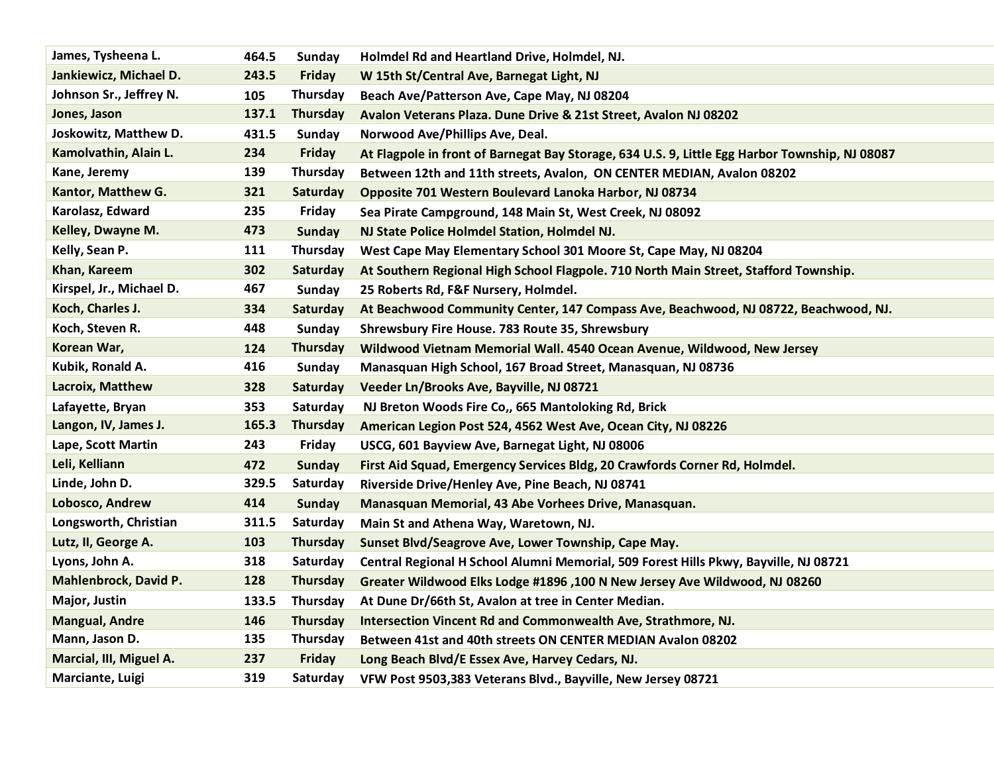| James, Tysheena L.       | 464.5 | Sunday          | Holmdel Rd and Heartland Drive, Holmdel, NJ.                                                   |
|--------------------------|-------|-----------------|------------------------------------------------------------------------------------------------|
| Jankiewicz, Michael D.   | 243.5 | <b>Friday</b>   | W 15th St/Central Ave, Barnegat Light, NJ                                                      |
| Johnson Sr., Jeffrey N.  | 105   | Thursday        | Beach Ave/Patterson Ave, Cape May, NJ 08204                                                    |
| Jones, Jason             | 137.1 | <b>Thursday</b> | Avalon Veterans Plaza. Dune Drive & 21st Street, Avalon NJ 08202                               |
| Joskowitz, Matthew D.    | 431.5 | Sunday          | Norwood Ave/Phillips Ave, Deal.                                                                |
| Kamolvathin, Alain L.    | 234   | <b>Friday</b>   | At Flagpole in front of Barnegat Bay Storage, 634 U.S. 9, Little Egg Harbor Township, NJ 08087 |
| Kane, Jeremy             | 139   | Thursday        | Between 12th and 11th streets, Avalon, ON CENTER MEDIAN, Avalon 08202                          |
| Kantor, Matthew G.       | 321   | Saturday        | Opposite 701 Western Boulevard Lanoka Harbor, NJ 08734                                         |
| Karolasz, Edward         | 235   | Friday          | Sea Pirate Campground, 148 Main St, West Creek, NJ 08092                                       |
| Kelley, Dwayne M.        | 473   | Sunday          | NJ State Police Holmdel Station, Holmdel NJ.                                                   |
| Kelly, Sean P.           | 111   | Thursday        | West Cape May Elementary School 301 Moore St, Cape May, NJ 08204                               |
| Khan, Kareem             | 302   | Saturday        | At Southern Regional High School Flagpole. 710 North Main Street, Stafford Township.           |
| Kirspel, Jr., Michael D. | 467   | Sunday          | 25 Roberts Rd, F&F Nursery, Holmdel.                                                           |
| Koch, Charles J.         | 334   | Saturday        | At Beachwood Community Center, 147 Compass Ave, Beachwood, NJ 08722, Beachwood, NJ.            |
| Koch, Steven R.          | 448   | Sunday          | Shrewsbury Fire House. 783 Route 35, Shrewsbury                                                |
| Korean War,              | 124   | <b>Thursday</b> | Wildwood Vietnam Memorial Wall. 4540 Ocean Avenue, Wildwood, New Jersey                        |
| Kubik, Ronald A.         | 416   | Sunday          | Manasquan High School, 167 Broad Street, Manasquan, NJ 08736                                   |
| Lacroix, Matthew         | 328   | Saturday        | Veeder Ln/Brooks Ave, Bayville, NJ 08721                                                       |
| Lafayette, Bryan         | 353   | Saturday        | NJ Breton Woods Fire Co., 665 Mantoloking Rd, Brick                                            |
| Langon, IV, James J.     | 165.3 | <b>Thursday</b> | American Legion Post 524, 4562 West Ave, Ocean City, NJ 08226                                  |
| Lape, Scott Martin       | 243   | Friday          | USCG, 601 Bayview Ave, Barnegat Light, NJ 08006                                                |
| Leli, Kelliann           | 472   | <b>Sunday</b>   | First Aid Squad, Emergency Services Bldg, 20 Crawfords Corner Rd, Holmdel.                     |
| Linde, John D.           | 329.5 | Saturday        | Riverside Drive/Henley Ave, Pine Beach, NJ 08741                                               |
| Lobosco, Andrew          | 414   | Sunday          | Manasquan Memorial, 43 Abe Vorhees Drive, Manasquan.                                           |
| Longsworth, Christian    | 311.5 | Saturday        | Main St and Athena Way, Waretown, NJ.                                                          |
| Lutz, II, George A.      | 103   | Thursday        | Sunset Blvd/Seagrove Ave, Lower Township, Cape May.                                            |
| Lyons, John A.           | 318   | Saturday        | Central Regional H School Alumni Memorial, 509 Forest Hills Pkwy, Bayville, NJ 08721           |
| Mahlenbrock, David P.    | 128   | Thursday        | Greater Wildwood Elks Lodge #1896 ,100 N New Jersey Ave Wildwood, NJ 08260                     |
| Major, Justin            | 133.5 | Thursday        | At Dune Dr/66th St, Avalon at tree in Center Median.                                           |
| <b>Mangual, Andre</b>    | 146   | Thursday        | Intersection Vincent Rd and Commonwealth Ave, Strathmore, NJ.                                  |
| Mann, Jason D.           | 135   | <b>Thursday</b> | Between 41st and 40th streets ON CENTER MEDIAN Avalon 08202                                    |
| Marcial, III, Miguel A.  | 237   | Friday          | Long Beach Blvd/E Essex Ave, Harvey Cedars, NJ.                                                |
| Marciante, Luigi         | 319   | Saturday        | VFW Post 9503,383 Veterans Blvd., Bayville, New Jersey 08721                                   |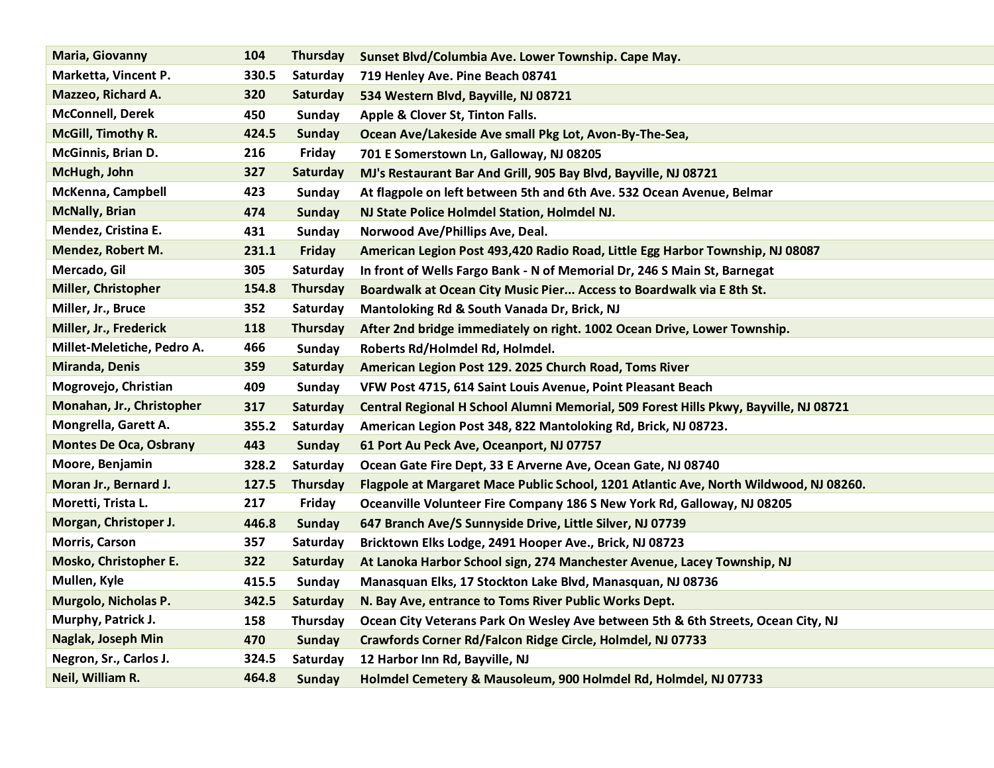| <b>Maria, Giovanny</b>        | 104   | <b>Thursday</b> | Sunset Blvd/Columbia Ave. Lower Township. Cape May.                                   |
|-------------------------------|-------|-----------------|---------------------------------------------------------------------------------------|
| Marketta, Vincent P.          | 330.5 | Saturday        | 719 Henley Ave. Pine Beach 08741                                                      |
| Mazzeo, Richard A.            | 320   | Saturday        | 534 Western Blvd, Bayville, NJ 08721                                                  |
| <b>McConnell, Derek</b>       | 450   | Sunday          | Apple & Clover St, Tinton Falls.                                                      |
| McGill, Timothy R.            | 424.5 | <b>Sunday</b>   | Ocean Ave/Lakeside Ave small Pkg Lot, Avon-By-The-Sea,                                |
| McGinnis, Brian D.            | 216   | Friday          | 701 E Somerstown Ln, Galloway, NJ 08205                                               |
| McHugh, John                  | 327   | Saturday        | MJ's Restaurant Bar And Grill, 905 Bay Blvd, Bayville, NJ 08721                       |
| <b>McKenna, Campbell</b>      | 423   | Sunday          | At flagpole on left between 5th and 6th Ave. 532 Ocean Avenue, Belmar                 |
| <b>McNally, Brian</b>         | 474   | <b>Sunday</b>   | NJ State Police Holmdel Station, Holmdel NJ.                                          |
| Mendez, Cristina E.           | 431   | Sunday          | Norwood Ave/Phillips Ave, Deal.                                                       |
| Mendez, Robert M.             | 231.1 | <b>Friday</b>   | American Legion Post 493,420 Radio Road, Little Egg Harbor Township, NJ 08087         |
| Mercado, Gil                  | 305   | Saturday        | In front of Wells Fargo Bank - N of Memorial Dr, 246 S Main St, Barnegat              |
| Miller, Christopher           | 154.8 | Thursday        | Boardwalk at Ocean City Music Pier Access to Boardwalk via E 8th St.                  |
| Miller, Jr., Bruce            | 352   | Saturday        | Mantoloking Rd & South Vanada Dr, Brick, NJ                                           |
| Miller, Jr., Frederick        | 118   | Thursday        | After 2nd bridge immediately on right. 1002 Ocean Drive, Lower Township.              |
| Millet-Meletiche, Pedro A.    | 466   | Sunday          | Roberts Rd/Holmdel Rd, Holmdel.                                                       |
| <b>Miranda, Denis</b>         | 359   | Saturday        | American Legion Post 129. 2025 Church Road, Toms River                                |
| Mogrovejo, Christian          | 409   | Sunday          | VFW Post 4715, 614 Saint Louis Avenue, Point Pleasant Beach                           |
| Monahan, Jr., Christopher     | 317   | Saturday        | Central Regional H School Alumni Memorial, 509 Forest Hills Pkwy, Bayville, NJ 08721  |
| Mongrella, Garett A.          | 355.2 | Saturday        | American Legion Post 348, 822 Mantoloking Rd, Brick, NJ 08723.                        |
| <b>Montes De Oca, Osbrany</b> | 443   | <b>Sunday</b>   | 61 Port Au Peck Ave, Oceanport, NJ 07757                                              |
| Moore, Benjamin               | 328.2 | Saturday        | Ocean Gate Fire Dept, 33 E Arverne Ave, Ocean Gate, NJ 08740                          |
| Moran Jr., Bernard J.         | 127.5 | <b>Thursday</b> | Flagpole at Margaret Mace Public School, 1201 Atlantic Ave, North Wildwood, NJ 08260. |
| Moretti, Trista L.            | 217   | Friday          | Oceanville Volunteer Fire Company 186 S New York Rd, Galloway, NJ 08205               |
| Morgan, Christoper J.         | 446.8 | Sunday          | 647 Branch Ave/S Sunnyside Drive, Little Silver, NJ 07739                             |
| <b>Morris, Carson</b>         | 357   | Saturday        | Bricktown Elks Lodge, 2491 Hooper Ave., Brick, NJ 08723                               |
| Mosko, Christopher E.         | 322   | Saturday        | At Lanoka Harbor School sign, 274 Manchester Avenue, Lacey Township, NJ               |
| Mullen, Kyle                  | 415.5 | <b>Sunday</b>   | Manasquan Elks, 17 Stockton Lake Blvd, Manasquan, NJ 08736                            |
| Murgolo, Nicholas P.          | 342.5 | Saturday        | N. Bay Ave, entrance to Toms River Public Works Dept.                                 |
| Murphy, Patrick J.            | 158   | Thursday        | Ocean City Veterans Park On Wesley Ave between 5th & 6th Streets, Ocean City, NJ      |
| Naglak, Joseph Min            | 470   | <b>Sunday</b>   | Crawfords Corner Rd/Falcon Ridge Circle, Holmdel, NJ 07733                            |
| Negron, Sr., Carlos J.        | 324.5 | Saturday        | 12 Harbor Inn Rd, Bayville, NJ                                                        |
| Neil, William R.              | 464.8 | Sunday          | Holmdel Cemetery & Mausoleum, 900 Holmdel Rd, Holmdel, NJ 07733                       |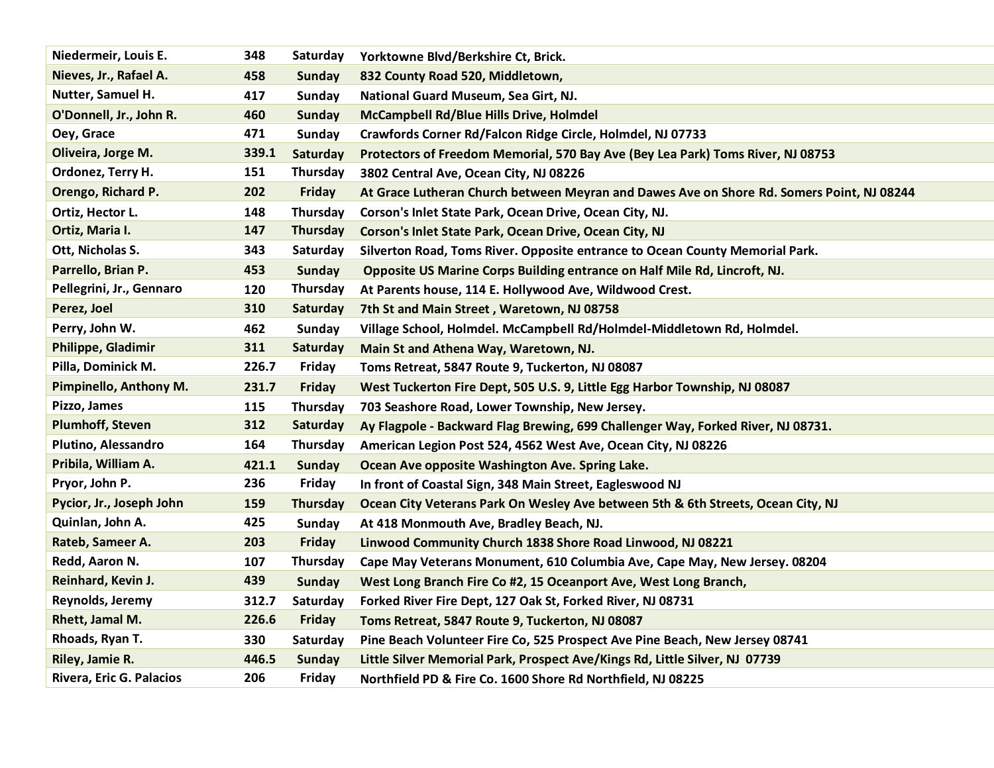| Niedermeir, Louis E.     | 348   | Saturday      | Yorktowne Blvd/Berkshire Ct, Brick.                                                       |
|--------------------------|-------|---------------|-------------------------------------------------------------------------------------------|
| Nieves, Jr., Rafael A.   | 458   | <b>Sunday</b> | 832 County Road 520, Middletown,                                                          |
| Nutter, Samuel H.        | 417   | <b>Sunday</b> | National Guard Museum, Sea Girt, NJ.                                                      |
| O'Donnell, Jr., John R.  | 460   | <b>Sunday</b> | <b>McCampbell Rd/Blue Hills Drive, Holmdel</b>                                            |
| Oey, Grace               | 471   | <b>Sunday</b> | Crawfords Corner Rd/Falcon Ridge Circle, Holmdel, NJ 07733                                |
| Oliveira, Jorge M.       | 339.1 | Saturday      | Protectors of Freedom Memorial, 570 Bay Ave (Bey Lea Park) Toms River, NJ 08753           |
| Ordonez, Terry H.        | 151   | Thursday      | 3802 Central Ave, Ocean City, NJ 08226                                                    |
| Orengo, Richard P.       | 202   | <b>Friday</b> | At Grace Lutheran Church between Meyran and Dawes Ave on Shore Rd. Somers Point, NJ 08244 |
| Ortiz, Hector L.         | 148   | Thursday      | Corson's Inlet State Park, Ocean Drive, Ocean City, NJ.                                   |
| Ortiz, Maria I.          | 147   | Thursday      | Corson's Inlet State Park, Ocean Drive, Ocean City, NJ                                    |
| Ott, Nicholas S.         | 343   | Saturday      | Silverton Road, Toms River. Opposite entrance to Ocean County Memorial Park.              |
| Parrello, Brian P.       | 453   | <b>Sunday</b> | Opposite US Marine Corps Building entrance on Half Mile Rd, Lincroft, NJ.                 |
| Pellegrini, Jr., Gennaro | 120   | Thursday      | At Parents house, 114 E. Hollywood Ave, Wildwood Crest.                                   |
| Perez, Joel              | 310   | Saturday      | 7th St and Main Street, Waretown, NJ 08758                                                |
| Perry, John W.           | 462   | Sunday        | Village School, Holmdel. McCampbell Rd/Holmdel-Middletown Rd, Holmdel.                    |
| Philippe, Gladimir       | 311   | Saturday      | Main St and Athena Way, Waretown, NJ.                                                     |
| Pilla, Dominick M.       | 226.7 | Friday        | Toms Retreat, 5847 Route 9, Tuckerton, NJ 08087                                           |
| Pimpinello, Anthony M.   | 231.7 | <b>Friday</b> | West Tuckerton Fire Dept, 505 U.S. 9, Little Egg Harbor Township, NJ 08087                |
| Pizzo, James             | 115   | Thursday      | 703 Seashore Road, Lower Township, New Jersey.                                            |
| <b>Plumhoff, Steven</b>  | 312   | Saturday      | Ay Flagpole - Backward Flag Brewing, 699 Challenger Way, Forked River, NJ 08731.          |
| Plutino, Alessandro      | 164   | Thursday      | American Legion Post 524, 4562 West Ave, Ocean City, NJ 08226                             |
| Pribila, William A.      | 421.1 | <b>Sunday</b> | Ocean Ave opposite Washington Ave. Spring Lake.                                           |
| Pryor, John P.           | 236   | Friday        | In front of Coastal Sign, 348 Main Street, Eagleswood NJ                                  |
| Pycior, Jr., Joseph John | 159   | Thursday      | Ocean City Veterans Park On Wesley Ave between 5th & 6th Streets, Ocean City, NJ          |
| Quinlan, John A.         | 425   | Sunday        | At 418 Monmouth Ave, Bradley Beach, NJ.                                                   |
| Rateb, Sameer A.         | 203   | <b>Friday</b> | Linwood Community Church 1838 Shore Road Linwood, NJ 08221                                |
| Redd, Aaron N.           | 107   | Thursday      | Cape May Veterans Monument, 610 Columbia Ave, Cape May, New Jersey. 08204                 |
| Reinhard, Kevin J.       | 439   | <b>Sunday</b> | West Long Branch Fire Co #2, 15 Oceanport Ave, West Long Branch,                          |
| Reynolds, Jeremy         | 312.7 | Saturday      | Forked River Fire Dept, 127 Oak St, Forked River, NJ 08731                                |
| Rhett, Jamal M.          | 226.6 | <b>Friday</b> | Toms Retreat, 5847 Route 9, Tuckerton, NJ 08087                                           |
| Rhoads, Ryan T.          | 330   | Saturday      | Pine Beach Volunteer Fire Co, 525 Prospect Ave Pine Beach, New Jersey 08741               |
| Riley, Jamie R.          | 446.5 | <b>Sunday</b> | Little Silver Memorial Park, Prospect Ave/Kings Rd, Little Silver, NJ 07739               |
| Rivera, Eric G. Palacios | 206   | Friday        | Northfield PD & Fire Co. 1600 Shore Rd Northfield, NJ 08225                               |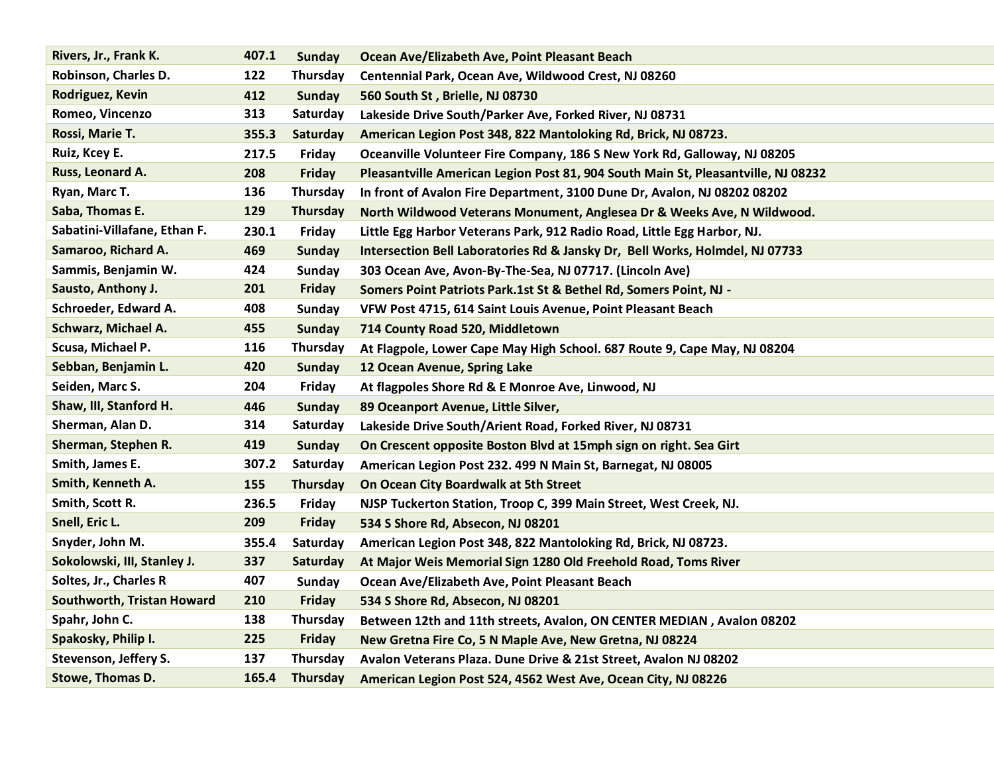| Rivers, Jr., Frank K.        | 407.1 | <b>Sunday</b>   | Ocean Ave/Elizabeth Ave, Point Pleasant Beach                                     |
|------------------------------|-------|-----------------|-----------------------------------------------------------------------------------|
| Robinson, Charles D.         | 122   | Thursday        | Centennial Park, Ocean Ave, Wildwood Crest, NJ 08260                              |
| Rodriguez, Kevin             | 412   | <b>Sunday</b>   | 560 South St, Brielle, NJ 08730                                                   |
| Romeo, Vincenzo              | 313   | Saturday        | Lakeside Drive South/Parker Ave, Forked River, NJ 08731                           |
| Rossi, Marie T.              | 355.3 | Saturday        | American Legion Post 348, 822 Mantoloking Rd, Brick, NJ 08723.                    |
| Ruiz, Kcey E.                | 217.5 | Friday          | Oceanville Volunteer Fire Company, 186 S New York Rd, Galloway, NJ 08205          |
| Russ, Leonard A.             | 208   | Friday          | Pleasantville American Legion Post 81, 904 South Main St, Pleasantville, NJ 08232 |
| Ryan, Marc T.                | 136   | <b>Thursday</b> | In front of Avalon Fire Department, 3100 Dune Dr, Avalon, NJ 08202 08202          |
| Saba, Thomas E.              | 129   | <b>Thursday</b> | North Wildwood Veterans Monument, Anglesea Dr & Weeks Ave, N Wildwood.            |
| Sabatini-Villafane, Ethan F. | 230.1 | Friday          | Little Egg Harbor Veterans Park, 912 Radio Road, Little Egg Harbor, NJ.           |
| Samaroo, Richard A.          | 469   | <b>Sunday</b>   | Intersection Bell Laboratories Rd & Jansky Dr, Bell Works, Holmdel, NJ 07733      |
| Sammis, Benjamin W.          | 424   | <b>Sunday</b>   | 303 Ocean Ave, Avon-By-The-Sea, NJ 07717. (Lincoln Ave)                           |
| Sausto, Anthony J.           | 201   | <b>Friday</b>   | Somers Point Patriots Park.1st St & Bethel Rd, Somers Point, NJ -                 |
| Schroeder, Edward A.         | 408   | Sunday          | VFW Post 4715, 614 Saint Louis Avenue, Point Pleasant Beach                       |
| Schwarz, Michael A.          | 455   | <b>Sunday</b>   | 714 County Road 520, Middletown                                                   |
| Scusa, Michael P.            | 116   | Thursday        | At Flagpole, Lower Cape May High School. 687 Route 9, Cape May, NJ 08204          |
| Sebban, Benjamin L.          | 420   | <b>Sunday</b>   | 12 Ocean Avenue, Spring Lake                                                      |
| Seiden, Marc S.              | 204   | Friday          | At flagpoles Shore Rd & E Monroe Ave, Linwood, NJ                                 |
| Shaw, III, Stanford H.       | 446   | <b>Sunday</b>   | 89 Oceanport Avenue, Little Silver,                                               |
| Sherman, Alan D.             | 314   | Saturday        | Lakeside Drive South/Arient Road, Forked River, NJ 08731                          |
| Sherman, Stephen R.          | 419   | <b>Sunday</b>   | On Crescent opposite Boston Blvd at 15mph sign on right. Sea Girt                 |
| Smith, James E.              | 307.2 | Saturday        | American Legion Post 232. 499 N Main St, Barnegat, NJ 08005                       |
| Smith, Kenneth A.            | 155   | <b>Thursday</b> | On Ocean City Boardwalk at 5th Street                                             |
| Smith, Scott R.              | 236.5 | Friday          | NJSP Tuckerton Station, Troop C, 399 Main Street, West Creek, NJ.                 |
| Snell, Eric L.               | 209   | Friday          | 534 S Shore Rd, Absecon, NJ 08201                                                 |
| Snyder, John M.              | 355.4 | Saturday        | American Legion Post 348, 822 Mantoloking Rd, Brick, NJ 08723.                    |
| Sokolowski, III, Stanley J.  | 337   | Saturday        | At Major Weis Memorial Sign 1280 Old Freehold Road, Toms River                    |
| Soltes, Jr., Charles R       | 407   | Sunday          | Ocean Ave/Elizabeth Ave, Point Pleasant Beach                                     |
| Southworth, Tristan Howard   | 210   | <b>Friday</b>   | 534 S Shore Rd, Absecon, NJ 08201                                                 |
| Spahr, John C.               | 138   | <b>Thursday</b> | Between 12th and 11th streets, Avalon, ON CENTER MEDIAN, Avalon 08202             |
| Spakosky, Philip I.          | 225   | <b>Friday</b>   | New Gretna Fire Co, 5 N Maple Ave, New Gretna, NJ 08224                           |
| Stevenson, Jeffery S.        | 137   | Thursday        | Avalon Veterans Plaza. Dune Drive & 21st Street, Avalon NJ 08202                  |
| Stowe, Thomas D.             | 165.4 | <b>Thursday</b> | American Legion Post 524, 4562 West Ave, Ocean City, NJ 08226                     |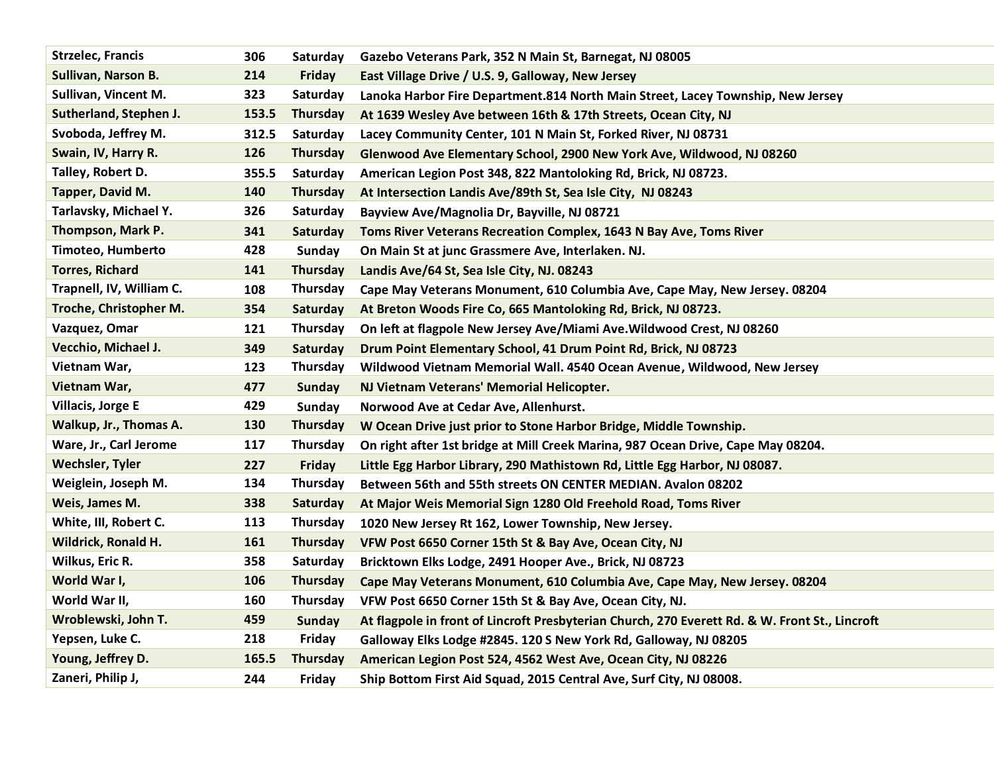| <b>Strzelec, Francis</b> | 306   | Saturday        | Gazebo Veterans Park, 352 N Main St, Barnegat, NJ 08005                                        |
|--------------------------|-------|-----------------|------------------------------------------------------------------------------------------------|
| Sullivan, Narson B.      | 214   | <b>Friday</b>   | East Village Drive / U.S. 9, Galloway, New Jersey                                              |
| Sullivan, Vincent M.     | 323   | Saturday        | Lanoka Harbor Fire Department.814 North Main Street, Lacey Township, New Jersey                |
| Sutherland, Stephen J.   | 153.5 | <b>Thursday</b> | At 1639 Wesley Ave between 16th & 17th Streets, Ocean City, NJ                                 |
| Svoboda, Jeffrey M.      | 312.5 | Saturday        | Lacey Community Center, 101 N Main St, Forked River, NJ 08731                                  |
| Swain, IV, Harry R.      | 126   | <b>Thursday</b> | Glenwood Ave Elementary School, 2900 New York Ave, Wildwood, NJ 08260                          |
| Talley, Robert D.        | 355.5 | Saturday        | American Legion Post 348, 822 Mantoloking Rd, Brick, NJ 08723.                                 |
| Tapper, David M.         | 140   | Thursday        | At Intersection Landis Ave/89th St, Sea Isle City, NJ 08243                                    |
| Tarlavsky, Michael Y.    | 326   | Saturday        | Bayview Ave/Magnolia Dr, Bayville, NJ 08721                                                    |
| Thompson, Mark P.        | 341   | Saturday        | Toms River Veterans Recreation Complex, 1643 N Bay Ave, Toms River                             |
| Timoteo, Humberto        | 428   | <b>Sunday</b>   | On Main St at junc Grassmere Ave, Interlaken. NJ.                                              |
| <b>Torres, Richard</b>   | 141   | Thursday        | Landis Ave/64 St, Sea Isle City, NJ. 08243                                                     |
| Trapnell, IV, William C. | 108   | Thursday        | Cape May Veterans Monument, 610 Columbia Ave, Cape May, New Jersey. 08204                      |
| Troche, Christopher M.   | 354   | Saturday        | At Breton Woods Fire Co, 665 Mantoloking Rd, Brick, NJ 08723.                                  |
| Vazquez, Omar            | 121   | Thursday        | On left at flagpole New Jersey Ave/Miami Ave. Wildwood Crest, NJ 08260                         |
| Vecchio, Michael J.      | 349   | Saturday        | Drum Point Elementary School, 41 Drum Point Rd, Brick, NJ 08723                                |
| Vietnam War,             | 123   | Thursday        | Wildwood Vietnam Memorial Wall. 4540 Ocean Avenue, Wildwood, New Jersey                        |
| Vietnam War,             | 477   | <b>Sunday</b>   | NJ Vietnam Veterans' Memorial Helicopter.                                                      |
| Villacis, Jorge E        | 429   | Sunday          | Norwood Ave at Cedar Ave, Allenhurst.                                                          |
| Walkup, Jr., Thomas A.   | 130   | <b>Thursday</b> | W Ocean Drive just prior to Stone Harbor Bridge, Middle Township.                              |
| Ware, Jr., Carl Jerome   | 117   | Thursday        | On right after 1st bridge at Mill Creek Marina, 987 Ocean Drive, Cape May 08204.               |
| <b>Wechsler, Tyler</b>   | 227   | <b>Friday</b>   | Little Egg Harbor Library, 290 Mathistown Rd, Little Egg Harbor, NJ 08087.                     |
| Weiglein, Joseph M.      | 134   | Thursday        | Between 56th and 55th streets ON CENTER MEDIAN. Avalon 08202                                   |
| Weis, James M.           | 338   | Saturday        | At Major Weis Memorial Sign 1280 Old Freehold Road, Toms River                                 |
| White, III, Robert C.    | 113   | Thursday        | 1020 New Jersey Rt 162, Lower Township, New Jersey.                                            |
| Wildrick, Ronald H.      | 161   | Thursday        | VFW Post 6650 Corner 15th St & Bay Ave, Ocean City, NJ                                         |
| Wilkus, Eric R.          | 358   | Saturday        | Bricktown Elks Lodge, 2491 Hooper Ave., Brick, NJ 08723                                        |
| World War I,             | 106   | <b>Thursday</b> | Cape May Veterans Monument, 610 Columbia Ave, Cape May, New Jersey. 08204                      |
| World War II,            | 160   | Thursday        | VFW Post 6650 Corner 15th St & Bay Ave, Ocean City, NJ.                                        |
| Wroblewski, John T.      | 459   | <b>Sunday</b>   | At flagpole in front of Lincroft Presbyterian Church, 270 Everett Rd. & W. Front St., Lincroft |
| Yepsen, Luke C.          | 218   | Friday          | Galloway Elks Lodge #2845. 120 S New York Rd, Galloway, NJ 08205                               |
| Young, Jeffrey D.        | 165.5 | <b>Thursday</b> | American Legion Post 524, 4562 West Ave, Ocean City, NJ 08226                                  |
| Zaneri, Philip J,        | 244   | Friday          | Ship Bottom First Aid Squad, 2015 Central Ave, Surf City, NJ 08008.                            |